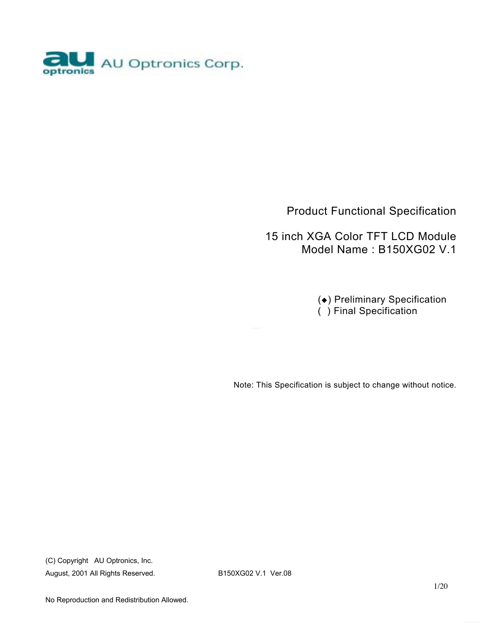

### Product Functional Specification

 15 inch XGA Color TFT LCD Module Model Name : B150XG02 V.1

> ( $\bullet$ ) Preliminary Specification ( ) Final Specification

Note: This Specification is subject to change without notice.

(C) Copyright AU Optronics, Inc. August, 2001 All Rights Reserved. B150XG02 V.1 Ver.08

No Reproduction and Redistribution Allowed.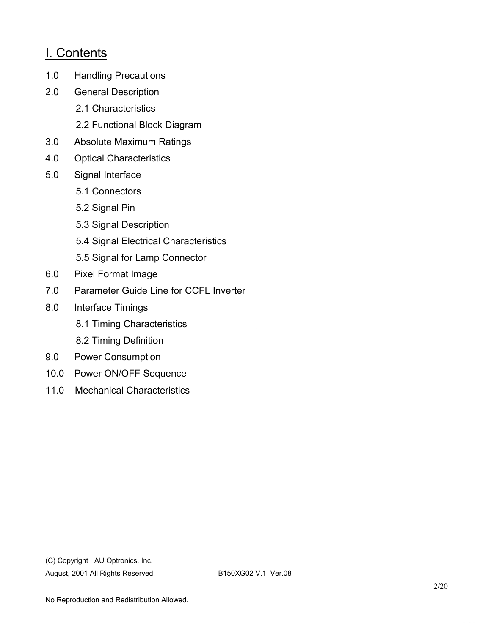## I. Contents

- 1.0 Handling Precautions
- 2.0 General Description
	- 2.1 Characteristics
	- 2.2 Functional Block Diagram
- 3.0 Absolute Maximum Ratings
- 4.0 Optical Characteristics
- 5.0 Signal Interface
	- 5.1 Connectors
	- 5.2 Signal Pin
	- 5.3 Signal Description
	- 5.4 Signal Electrical Characteristics
	- 5.5 Signal for Lamp Connector
- 6.0 Pixel Format Image
- 7.0 Parameter Guide Line for CCFL Inverter
- 8.0 Interface Timings
	- 8.1 Timing Characteristics
	- 8.2 Timing Definition
- 9.0 Power Consumption
- 10.0 Power ON/OFF Sequence
- 11.0 Mechanical Characteristics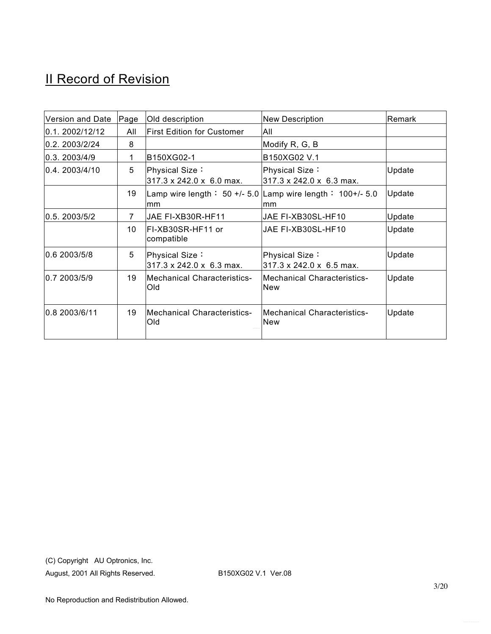# **II Record of Revision**

| Version and Date | Page | Old description                            | <b>New Description</b>                                           | Remark |
|------------------|------|--------------------------------------------|------------------------------------------------------------------|--------|
| 0.1.2002/12/12   | All  | <b>First Edition for Customer</b>          | All                                                              |        |
| 0.2.2003/2/24    | 8    |                                            | Modify R, G, B                                                   |        |
| 0.3.2003/4/9     | 1    | B150XG02-1                                 | B150XG02 V.1                                                     |        |
| l0.4.2003/4/10   | 5    | Physical Size:<br>317.3 x 242.0 x 6.0 max. | Physical Size:<br>317.3 x 242.0 x 6.3 max.                       | Update |
|                  | 19   | mm                                         | Lamp wire length: 50 +/- 5.0 Lamp wire length: $100+/-5.0$<br>mm | Update |
| 0.5, 2003/5/2    | 7    | JAE FI-XB30R-HF11                          | JAE FI-XB30SL-HF10                                               | Update |
|                  | 10   | FI-XB30SR-HF11 or<br>compatible            | JAE FI-XB30SL-HF10                                               | Update |
| 0.6 2003/5/8     | 5    | Physical Size:<br>317.3 x 242.0 x 6.3 max. | Physical Size:<br>$317.3 \times 242.0 \times 6.5$ max.           | Update |
| 0.7 2003/5/9     | 19   | <b>Mechanical Characteristics-</b><br>Old  | <b>Mechanical Characteristics-</b><br><b>New</b>                 | Update |
| 0.8 2003/6/11    | 19   | Mechanical Characteristics-<br>Old         | <b>Mechanical Characteristics-</b><br><b>New</b>                 | Update |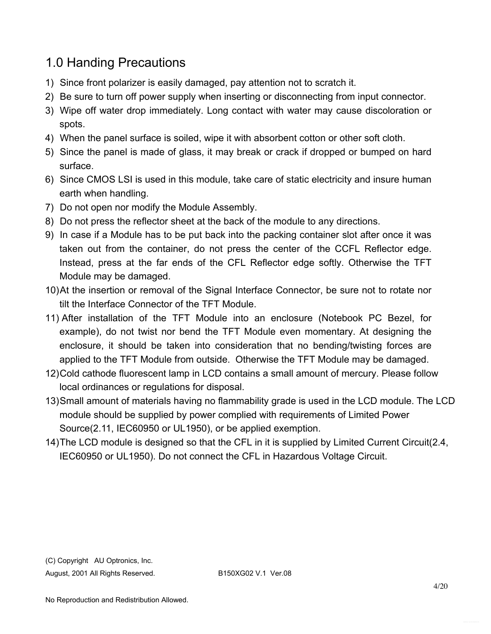# 1.0 Handing Precautions

- 1) Since front polarizer is easily damaged, pay attention not to scratch it.
- 2) Be sure to turn off power supply when inserting or disconnecting from input connector.
- 3) Wipe off water drop immediately. Long contact with water may cause discoloration or spots.
- 4) When the panel surface is soiled, wipe it with absorbent cotton or other soft cloth.
- 5) Since the panel is made of glass, it may break or crack if dropped or bumped on hard surface.
- 6) Since CMOS LSI is used in this module, take care of static electricity and insure human earth when handling.
- 7) Do not open nor modify the Module Assembly.
- 8) Do not press the reflector sheet at the back of the module to any directions.
- 9) In case if a Module has to be put back into the packing container slot after once it was taken out from the container, do not press the center of the CCFL Reflector edge. Instead, press at the far ends of the CFL Reflector edge softly. Otherwise the TFT Module may be damaged.
- 10) At the insertion or removal of the Signal Interface Connector, be sure not to rotate nor tilt the Interface Connector of the TFT Module.
- 11) After installation of the TFT Module into an enclosure (Notebook PC Bezel, for example), do not twist nor bend the TFT Module even momentary. At designing the enclosure, it should be taken into consideration that no bending/twisting forces are applied to the TFT Module from outside. Otherwise the TFT Module may be damaged.
- 12) Cold cathode fluorescent lamp in LCD contains a small amount of mercury. Please follow local ordinances or regulations for disposal.
- 13) Small amount of materials having no flammability grade is used in the LCD module. The LCD module should be supplied by power complied with requirements of Limited Power Source(2.11, IEC60950 or UL1950), or be applied exemption.
- 14) The LCD module is designed so that the CFL in it is supplied by Limited Current Circuit(2.4, IEC60950 or UL1950). Do not connect the CFL in Hazardous Voltage Circuit.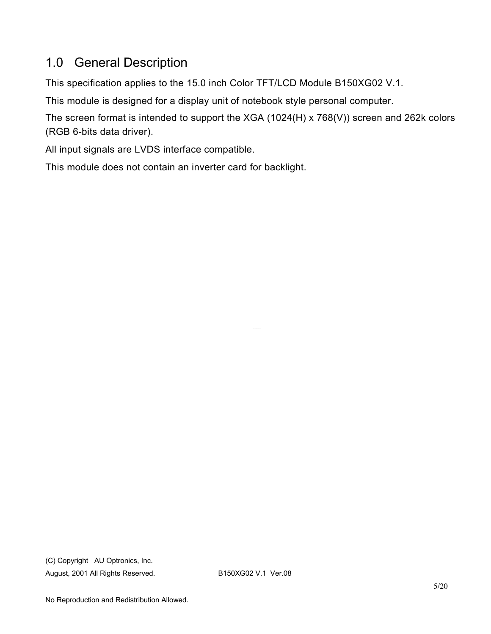# 1.0 General Description

This specification applies to the 15.0 inch Color TFT/LCD Module B150XG02 V.1.

This module is designed for a display unit of notebook style personal computer.

The screen format is intended to support the XGA (1024(H) x 768(V)) screen and 262k colors (RGB 6-bits data driver).

All input signals are LVDS interface compatible.

This module does not contain an inverter card for backlight.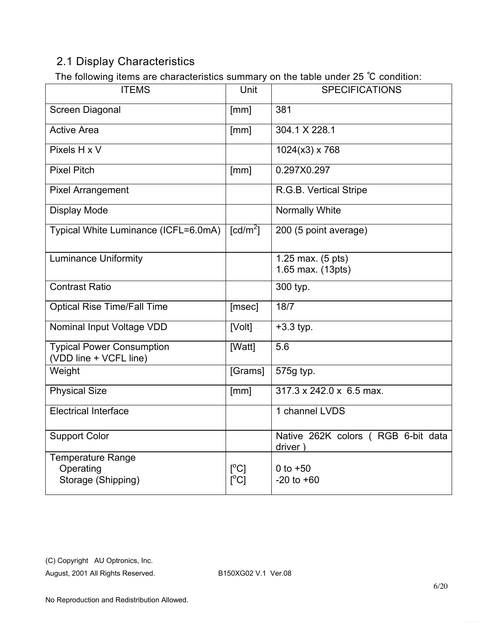## 2.1 Display Characteristics

The following items are characteristics summary on the table under 25 °C condition:

| .<br><b>ITEMS</b>                                          | Unit                                                | <b>SPECIFICATIONS</b>                         |
|------------------------------------------------------------|-----------------------------------------------------|-----------------------------------------------|
| Screen Diagonal                                            | [mm]                                                | 381                                           |
| <b>Active Area</b>                                         | [mm]                                                | 304.1 X 228.1                                 |
| Pixels H x V                                               |                                                     | $1024(x3)$ x 768                              |
| <b>Pixel Pitch</b>                                         | [mm]                                                | 0.297X0.297                                   |
| <b>Pixel Arrangement</b>                                   |                                                     | R.G.B. Vertical Stripe                        |
| <b>Display Mode</b>                                        |                                                     | Normally White                                |
| Typical White Luminance (ICFL=6.0mA)                       | [cd/m <sup>2</sup> ]                                | 200 (5 point average)                         |
| <b>Luminance Uniformity</b>                                |                                                     | 1.25 max. (5 pts)<br>1.65 max. (13pts)        |
| <b>Contrast Ratio</b>                                      |                                                     | 300 typ.                                      |
| <b>Optical Rise Time/Fall Time</b>                         | [msec]                                              | 18/7                                          |
| Nominal Input Voltage VDD                                  | [Volt]                                              | $+3.3$ typ.                                   |
| <b>Typical Power Consumption</b><br>(VDD line + VCFL line) | [Watt]                                              | 5.6                                           |
| Weight                                                     | [Grams]                                             | 575g typ.                                     |
| <b>Physical Size</b>                                       | [mm]                                                | 317.3 x 242.0 x 6.5 max.                      |
| <b>Electrical Interface</b>                                |                                                     | 1 channel LVDS                                |
| <b>Support Color</b>                                       |                                                     | Native 262K colors (RGB 6-bit data<br>driver) |
| Temperature Range<br>Operating<br>Storage (Shipping)       | $\mathsf{I}^\circ\mathsf{C}$<br>$\Gamma^{\circ}$ C1 | 0 to $+50$<br>$-20$ to $+60$                  |

(C) Copyright AU Optronics, Inc.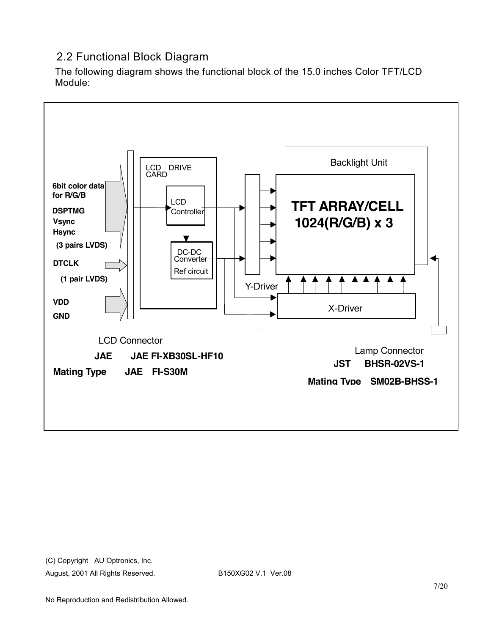## 2.2 Functional Block Diagram

The following diagram shows the functional block of the 15.0 inches Color TFT/LCD Module:

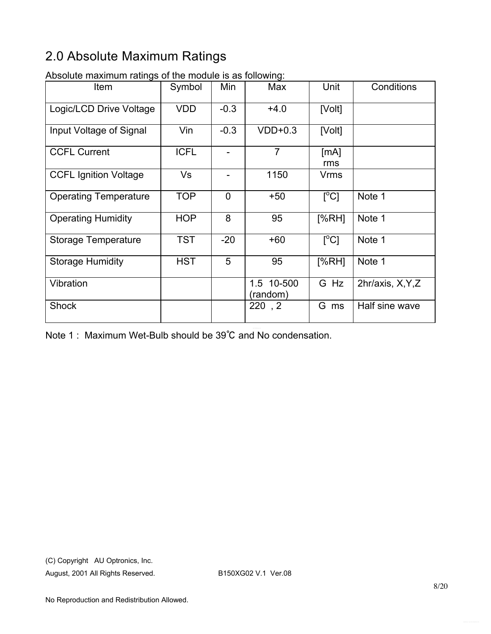# 2.0 Absolute Maximum Ratings

| senato maximam ratingo<br>Item | Symbol      | Min            | Max                    | Unit                            | Conditions        |
|--------------------------------|-------------|----------------|------------------------|---------------------------------|-------------------|
| Logic/LCD Drive Voltage        | <b>VDD</b>  | $-0.3$         | $+4.0$                 | [Volt]                          |                   |
| Input Voltage of Signal        | Vin         | $-0.3$         | $VDD+0.3$              | [Volt]                          |                   |
| <b>CCFL Current</b>            | <b>ICFL</b> |                | $\overline{7}$         | [mA]<br>rms                     |                   |
| <b>CCFL Ignition Voltage</b>   | Vs          |                | 1150                   | <b>Vrms</b>                     |                   |
| <b>Operating Temperature</b>   | <b>TOP</b>  | $\overline{0}$ | $+50$                  | $\Gamma^{\circ}$ Cl             | Note 1            |
| <b>Operating Humidity</b>      | <b>HOP</b>  | 8              | 95                     | [%RH]                           | Note 1            |
| <b>Storage Temperature</b>     | <b>TST</b>  | $-20$          | $+60$                  | $\Gamma^{\circ}$ C <sub>1</sub> | Note 1            |
| <b>Storage Humidity</b>        | <b>HST</b>  | 5              | 95                     | [%RH]                           | Note 1            |
| Vibration                      |             |                | 1.5 10-500<br>(random) | G Hz                            | 2hr/axis, X, Y, Z |
| <b>Shock</b>                   |             |                | 220, 2                 | G<br>ms                         | Half sine wave    |

Absolute maximum ratings of the module is as following:

Note 1 : Maximum Wet-Bulb should be 39℃ and No condensation.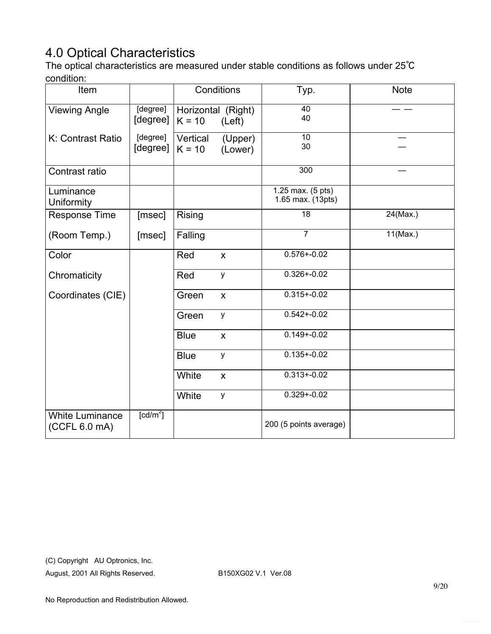# 4.0 Optical Characteristics

The optical characteristics are measured under stable conditions as follows under 25℃ condition:

| Item                                    |                      |                                | Conditions                | Typ.                                   | <b>Note</b> |
|-----------------------------------------|----------------------|--------------------------------|---------------------------|----------------------------------------|-------------|
| <b>Viewing Angle</b>                    | [degree]<br>[degree] | Horizontal (Right)<br>$K = 10$ | (Left)                    | 40<br>40                               |             |
| K: Contrast Ratio                       | [degree]<br>[degree] | Vertical<br>$K = 10$           | (Upper)<br>(Lower)        | 10<br>30                               |             |
| Contrast ratio                          |                      |                                |                           | 300                                    |             |
| Luminance<br>Uniformity                 |                      |                                |                           | 1.25 max. (5 pts)<br>1.65 max. (13pts) |             |
| <b>Response Time</b>                    | [msec]               | Rising                         |                           | 18                                     | 24(Max.)    |
| (Room Temp.)                            | [msec]               | Falling                        |                           | $\overline{7}$                         | 11(Max.)    |
| Color                                   |                      | Red                            | $\boldsymbol{\mathsf{X}}$ | $0.576 + 0.02$                         |             |
| Chromaticity                            |                      | Red                            | y                         | $0.326 + 0.02$                         |             |
| Coordinates (CIE)                       |                      | Green                          | $\boldsymbol{\mathsf{X}}$ | $0.315 + 0.02$                         |             |
|                                         |                      | Green                          | y                         | $0.542 + 0.02$                         |             |
|                                         |                      | <b>Blue</b>                    | $\pmb{\mathsf{X}}$        | $0.149 + 0.02$                         |             |
|                                         |                      | <b>Blue</b>                    | y                         | $0.135 + 0.02$                         |             |
|                                         |                      | White                          | $\boldsymbol{\mathsf{X}}$ | $0.313 + 0.02$                         |             |
|                                         |                      | White                          | y                         | $0.329 + 0.02$                         |             |
| <b>White Luminance</b><br>(CCFL 6.0 mA) | [cd/m <sup>2</sup> ] |                                |                           | 200 (5 points average)                 |             |

(C) Copyright AU Optronics, Inc.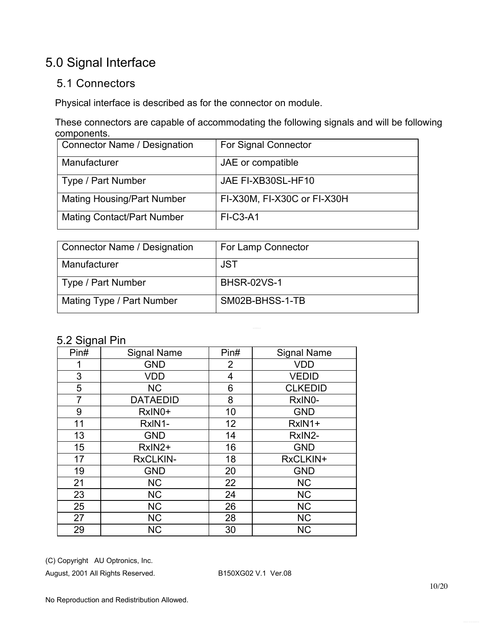# 5.0 Signal Interface

### 5.1 Connectors

Physical interface is described as for the connector on module.

These connectors are capable of accommodating the following signals and will be following components.

| <b>Connector Name / Designation</b> | <b>For Signal Connector</b> |
|-------------------------------------|-----------------------------|
| Manufacturer                        | JAE or compatible           |
| Type / Part Number                  | JAE FI-XB30SL-HF10          |
| <b>Mating Housing/Part Number</b>   | FI-X30M, FI-X30C or FI-X30H |
| <b>Mating Contact/Part Number</b>   | <b>FI-C3-A1</b>             |

| Connector Name / Designation | For Lamp Connector |
|------------------------------|--------------------|
| Manufacturer                 | <b>JST</b>         |
| Type / Part Number           | <b>BHSR-02VS-1</b> |
| Mating Type / Part Number    | SM02B-BHSS-1-TB    |

### 5.2 Signal Pin

| ◡<br>Pin# | <b>Signal Name</b> | Pin#           | <b>Signal Name</b> |
|-----------|--------------------|----------------|--------------------|
|           | <b>GND</b>         | $\overline{2}$ | <b>VDD</b>         |
| 3         | <b>VDD</b>         | 4              | <b>VEDID</b>       |
| 5         | <b>NC</b>          | 6              | <b>CLKEDID</b>     |
| 7         | <b>DATAEDID</b>    | 8              | RxIN0-             |
| 9         | RxIN0+             | 10             | <b>GND</b>         |
| 11        | RxIN1-             | 12             | RxIN1+             |
| 13        | <b>GND</b>         | 14             | RxIN2-             |
| 15        | RxIN2+             | 16             | <b>GND</b>         |
| 17        | <b>RxCLKIN-</b>    | 18             | RxCLKIN+           |
| 19        | <b>GND</b>         | 20             | <b>GND</b>         |
| 21        | <b>NC</b>          | 22             | <b>NC</b>          |
| 23        | <b>NC</b>          | 24             | <b>NC</b>          |
| 25        | <b>NC</b>          | 26             | <b>NC</b>          |
| 27        | <b>NC</b>          | 28             | <b>NC</b>          |
| 29        | <b>NC</b>          | 30             | <b>NC</b>          |

(C) Copyright AU Optronics, Inc.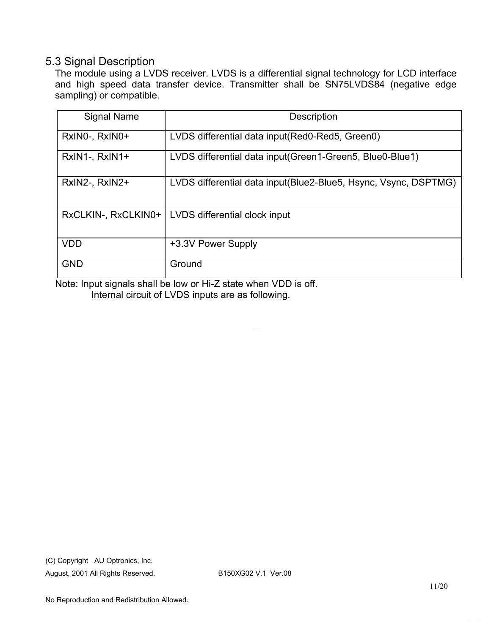#### 5.3 Signal Description

The module using a LVDS receiver. LVDS is a differential signal technology for LCD interface and high speed data transfer device. Transmitter shall be SN75LVDS84 (negative edge sampling) or compatible.

| Signal Name         | <b>Description</b>                                               |
|---------------------|------------------------------------------------------------------|
| RxINO-, RxINO+      | LVDS differential data input(Red0-Red5, Green0)                  |
| RxIN1-, RxIN1+      | LVDS differential data input (Green1-Green5, Blue0-Blue1)        |
| RxIN2-, RxIN2+      | LVDS differential data input (Blue2-Blue5, Hsync, Vsync, DSPTMG) |
| RxCLKIN-, RxCLKIN0+ | LVDS differential clock input                                    |
| <b>VDD</b>          | +3.3V Power Supply                                               |
| <b>GND</b>          | Ground                                                           |

Note: Input signals shall be low or Hi-Z state when VDD is off. Internal circuit of LVDS inputs are as following.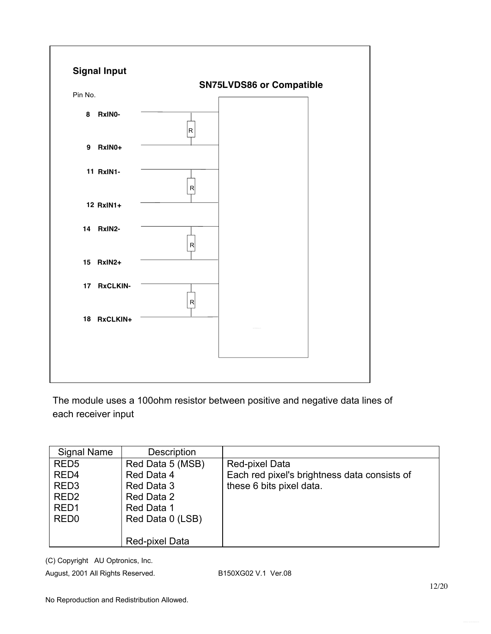

The module uses a 100ohm resistor between positive and negative data lines of each receiver input

| <b>Signal Name</b> | Description      |                                              |
|--------------------|------------------|----------------------------------------------|
| RED <sub>5</sub>   | Red Data 5 (MSB) | Red-pixel Data                               |
| RED <sub>4</sub>   | Red Data 4       | Each red pixel's brightness data consists of |
| RED <sub>3</sub>   | Red Data 3       | these 6 bits pixel data.                     |
| RED <sub>2</sub>   | Red Data 2       |                                              |
| RED <sub>1</sub>   | Red Data 1       |                                              |
| RED <sub>0</sub>   | Red Data 0 (LSB) |                                              |
|                    |                  |                                              |
|                    | Red-pixel Data   |                                              |

(C) Copyright AU Optronics, Inc.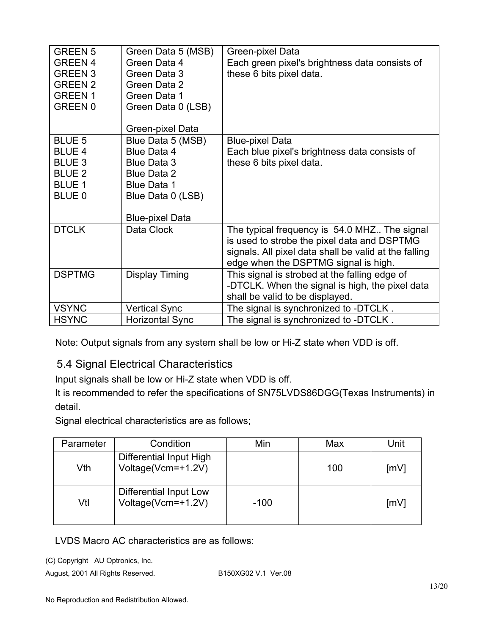| <b>GREEN 5</b><br><b>GREEN 4</b><br><b>GREEN 3</b><br><b>GREEN 2</b><br><b>GREEN1</b><br><b>GREEN 0</b> | Green Data 5 (MSB)<br>Green Data 4<br>Green Data 3<br>Green Data 2<br>Green Data 1<br>Green Data 0 (LSB)         | Green-pixel Data<br>Each green pixel's brightness data consists of<br>these 6 bits pixel data.                                                                                               |
|---------------------------------------------------------------------------------------------------------|------------------------------------------------------------------------------------------------------------------|----------------------------------------------------------------------------------------------------------------------------------------------------------------------------------------------|
|                                                                                                         | Green-pixel Data                                                                                                 |                                                                                                                                                                                              |
| <b>BLUE 5</b><br><b>BLUE 4</b><br><b>BLUE 3</b><br><b>BLUE 2</b><br><b>BLUE 1</b><br>BLUE 0             | Blue Data 5 (MSB)<br>Blue Data 4<br><b>Blue Data 3</b><br>Blue Data 2<br><b>Blue Data 1</b><br>Blue Data 0 (LSB) | <b>Blue-pixel Data</b><br>Each blue pixel's brightness data consists of<br>these 6 bits pixel data.                                                                                          |
|                                                                                                         | <b>Blue-pixel Data</b>                                                                                           |                                                                                                                                                                                              |
| <b>DTCLK</b>                                                                                            | Data Clock                                                                                                       | The typical frequency is 54.0 MHZ The signal<br>is used to strobe the pixel data and DSPTMG<br>signals. All pixel data shall be valid at the falling<br>edge when the DSPTMG signal is high. |
| <b>DSPTMG</b>                                                                                           | Display Timing                                                                                                   | This signal is strobed at the falling edge of<br>-DTCLK. When the signal is high, the pixel data<br>shall be valid to be displayed.                                                          |
| <b>VSYNC</b>                                                                                            | <b>Vertical Sync</b>                                                                                             | The signal is synchronized to -DTCLK.                                                                                                                                                        |
| <b>HSYNC</b>                                                                                            | <b>Horizontal Sync</b>                                                                                           | The signal is synchronized to -DTCLK.                                                                                                                                                        |

Note: Output signals from any system shall be low or Hi-Z state when VDD is off.

### 5.4 Signal Electrical Characteristics

Input signals shall be low or Hi-Z state when VDD is off.

It is recommended to refer the specifications of SN75LVDS86DGG(Texas Instruments) in detail.

Signal electrical characteristics are as follows;

| Parameter | Condition                                     | Min    | Max | Unit |
|-----------|-----------------------------------------------|--------|-----|------|
| Vth       | Differential Input High<br>Voltage(Vcm=+1.2V) |        | 100 | [mV] |
| Vtl       | Differential Input Low<br>Voltage(Vcm=+1.2V)  | $-100$ |     | [mV] |

LVDS Macro AC characteristics are as follows:

(C) Copyright AU Optronics, Inc.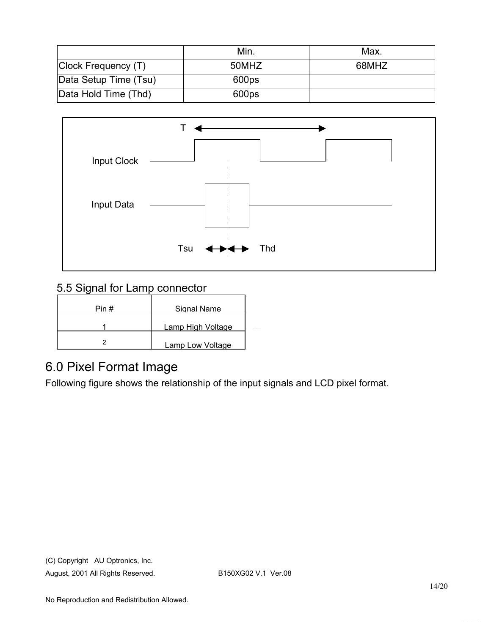|                       | Min.  | Max.  |
|-----------------------|-------|-------|
| Clock Frequency (T)   | 50MHZ | 68MHZ |
| Data Setup Time (Tsu) | 600ps |       |
| Data Hold Time (Thd)  | 600ps |       |



## 5.5 Signal for Lamp connector

| Pin # | Signal Name       |  |
|-------|-------------------|--|
|       | Lamp High Voltage |  |
|       | Lamp Low Voltage  |  |

## 6.0 Pixel Format Image

Following figure shows the relationship of the input signals and LCD pixel format.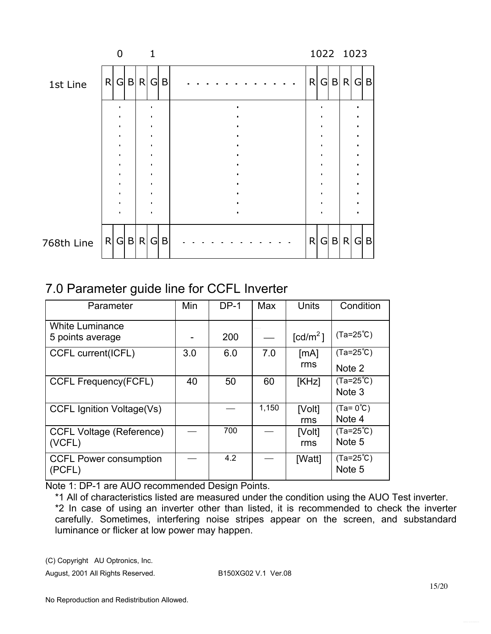|            |   | U      |         |                        |             |  |  |  |  |  |   |  | 1022 1023 |  |
|------------|---|--------|---------|------------------------|-------------|--|--|--|--|--|---|--|-----------|--|
| 1st Line   | R |        | G B R G |                        | $\mathsf B$ |  |  |  |  |  | R |  | G B R G B |  |
|            |   |        |         | $\bullet$              |             |  |  |  |  |  |   |  |           |  |
|            |   | ٠<br>٠ |         | $\bullet$<br>$\bullet$ |             |  |  |  |  |  |   |  |           |  |
|            |   |        |         | $\bullet$<br>$\bullet$ |             |  |  |  |  |  |   |  |           |  |
|            |   |        |         | $\bullet$              |             |  |  |  |  |  |   |  |           |  |
|            |   |        |         |                        |             |  |  |  |  |  |   |  |           |  |
| 768th Line | R |        | G B     | R G                    | $\mathsf B$ |  |  |  |  |  | R |  | G B R G B |  |

# 7.0 Parameter guide line for CCFL Inverter

| Parameter                                  | Min | $DP-1$ | Max   | Units                | Condition                    |
|--------------------------------------------|-----|--------|-------|----------------------|------------------------------|
| <b>White Luminance</b><br>5 points average |     | 200    |       | [cd/m <sup>2</sup> ] | $(Ta=25^{\circ}C)$           |
| CCFL current(ICFL)                         | 3.0 | 6.0    | 7.0   | [mA]<br>rms          | $(Ta=25^{\circ}C)$<br>Note 2 |
| <b>CCFL Frequency(FCFL)</b>                | 40  | 50     | 60    | [KHz]                | $(Ta=25^{\circ}C)$<br>Note 3 |
| <b>CCFL Ignition Voltage(Vs)</b>           |     |        | 1,150 | [Volt]<br>rms        | $(Ta=0^{\circ}C)$<br>Note 4  |
| <b>CCFL Voltage (Reference)</b><br>(VCFL)  |     | 700    |       | [Volt]<br>rms        | $(Ta=25^{\circ}C)$<br>Note 5 |
| <b>CCFL Power consumption</b><br>(PCFL)    |     | 4.2    |       | [Watt]               | $(Ta=25^{\circ}C)$<br>Note 5 |

Note 1: DP-1 are AUO recommended Design Points.

\*1 All of characteristics listed are measured under the condition using the AUO Test inverter. \*2 In case of using an inverter other than listed, it is recommended to check the inverter carefully. Sometimes, interfering noise stripes appear on the screen, and substandard luminance or flicker at low power may happen.

(C) Copyright AU Optronics, Inc.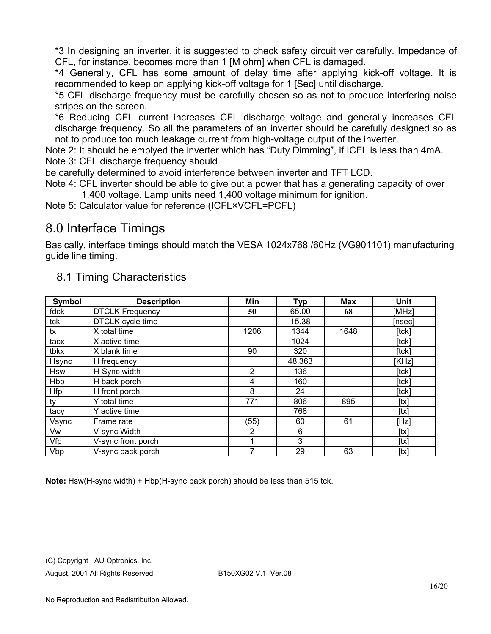\*3 In designing an inverter, it is suggested to check safety circuit ver carefully. Impedance of CFL, for instance, becomes more than 1 [M ohm] when CFL is damaged.

\*4 Generally, CFL has some amount of delay time after applying kick-off voltage. It is recommended to keep on applying kick-off voltage for 1 [Sec] until discharge.

\*5 CFL discharge frequency must be carefully chosen so as not to produce interfering noise stripes on the screen.

\*6 Reducing CFL current increases CFL discharge voltage and generally increases CFL discharge frequency. So all the parameters of an inverter should be carefully designed so as not to produce too much leakage current from high-voltage output of the inverter.

Note 2: It should be emplyed the inverter which has "Duty Dimming", if ICFL is less than 4mA. Note 3: CFL discharge frequency should

be carefully determined to avoid interference between inverter and TFT LCD.

Note 4: CFL inverter should be able to give out a power that has a generating capacity of over 1,400 voltage. Lamp units need 1,400 voltage minimum for ignition.

Note 5: Calculator value for reference (ICFL×VCFL=PCFL)

## 8.0 Interface Timings

Basically, interface timings should match the VESA 1024x768 /60Hz (VG901101) manufacturing guide line timing.

| Symbol     | <b>Description</b>     | Min            | <b>Typ</b> | Max  | Unit   |
|------------|------------------------|----------------|------------|------|--------|
| fdck       | <b>DTCLK Frequency</b> | 50             | 65.00      | 68   | [MHz]  |
| tck        | DTCLK cycle time       |                | 15.38      |      | [nsec] |
| tx         | X total time           | 1206           | 1344       | 1648 | [tck]  |
| tacx       | X active time          |                | 1024       |      | [tck]  |
| tbkx       | X blank time           | 90             | 320        |      | [tck]  |
| Hsync      | H frequency            |                | 48.363     |      | [KHz]  |
| <b>Hsw</b> | H-Sync width           | $\overline{2}$ | 136        |      | [tck]  |
| Hbp        | H back porch           | 4              | 160        |      | [tck]  |
| Hfp        | H front porch          | 8              | 24         |      | [tck]  |
| ty         | Y total time           | 771            | 806        | 895  | [tx]   |
| tacy       | Y active time          |                | 768        |      | [tx]   |
| Vsync      | Frame rate             | (55)           | 60         | 61   | [Hz]   |
| Vw         | V-sync Width           | 2              | 6          |      | [tx]   |
| Vfp        | V-sync front porch     |                | 3          |      | [tx]   |
| Vbp        | V-sync back porch      | 7              | 29         | 63   | [tx]   |

### 8.1 Timing Characteristics

**Note:** Hsw(H-sync width) + Hbp(H-sync back porch) should be less than 515 tck.

(C) Copyright AU Optronics, Inc.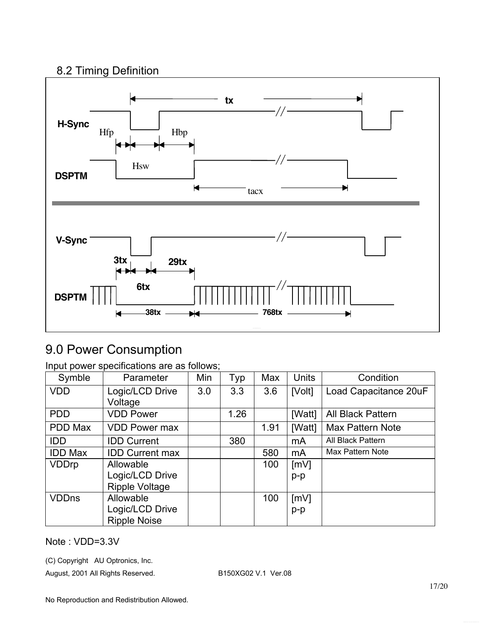### 8.2 Timing Definition



# 9.0 Power Consumption

|  | Input power specifications are as follows; |  |  |
|--|--------------------------------------------|--|--|
|  |                                            |  |  |

| Symble         | Parameter              | Min | Typ  | Max  | <b>Units</b> | Condition             |
|----------------|------------------------|-----|------|------|--------------|-----------------------|
| <b>VDD</b>     | Logic/LCD Drive        | 3.0 | 3.3  | 3.6  | [Volt]       | Load Capacitance 20uF |
|                | Voltage                |     |      |      |              |                       |
| <b>PDD</b>     | <b>VDD Power</b>       |     | 1.26 |      | [Watt]       | All Black Pattern     |
| PDD Max        | <b>VDD Power max</b>   |     |      | 1.91 | [Watt]       | Max Pattern Note      |
| <b>IDD</b>     | <b>IDD Current</b>     |     | 380  |      | mA           | All Black Pattern     |
| <b>IDD Max</b> | <b>IDD Current max</b> |     |      | 580  | mA           | Max Pattern Note      |
| <b>VDDrp</b>   | Allowable              |     |      | 100  | [mV]         |                       |
|                | Logic/LCD Drive        |     |      |      | $p-p$        |                       |
|                | <b>Ripple Voltage</b>  |     |      |      |              |                       |
| <b>VDDns</b>   | Allowable              |     |      | 100  | [mV]         |                       |
|                | Logic/LCD Drive        |     |      |      | $p-p$        |                       |
|                | <b>Ripple Noise</b>    |     |      |      |              |                       |

Note : VDD=3.3V

(C) Copyright AU Optronics, Inc.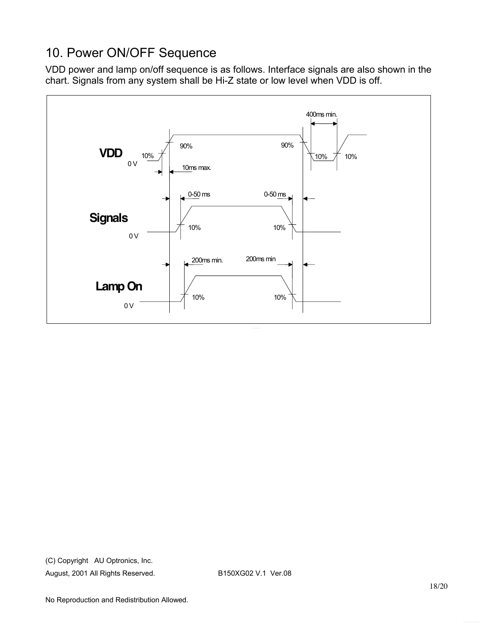# 10. Power ON/OFF Sequence

VDD power and lamp on/off sequence is as follows. Interface signals are also shown in the chart. Signals from any system shall be Hi-Z state or low level when VDD is off.

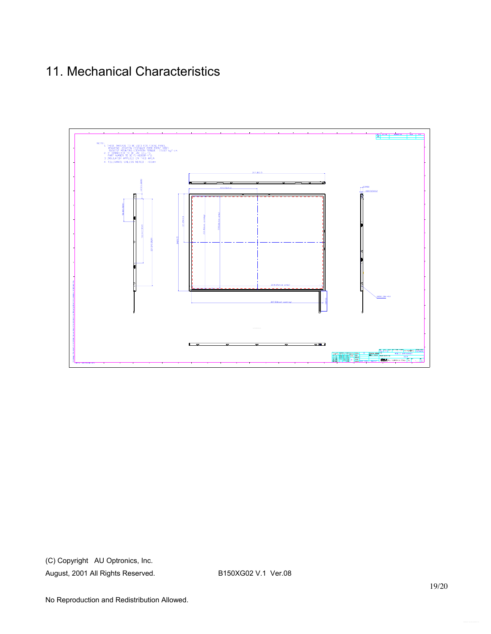# 11. Mechanical Characteristics